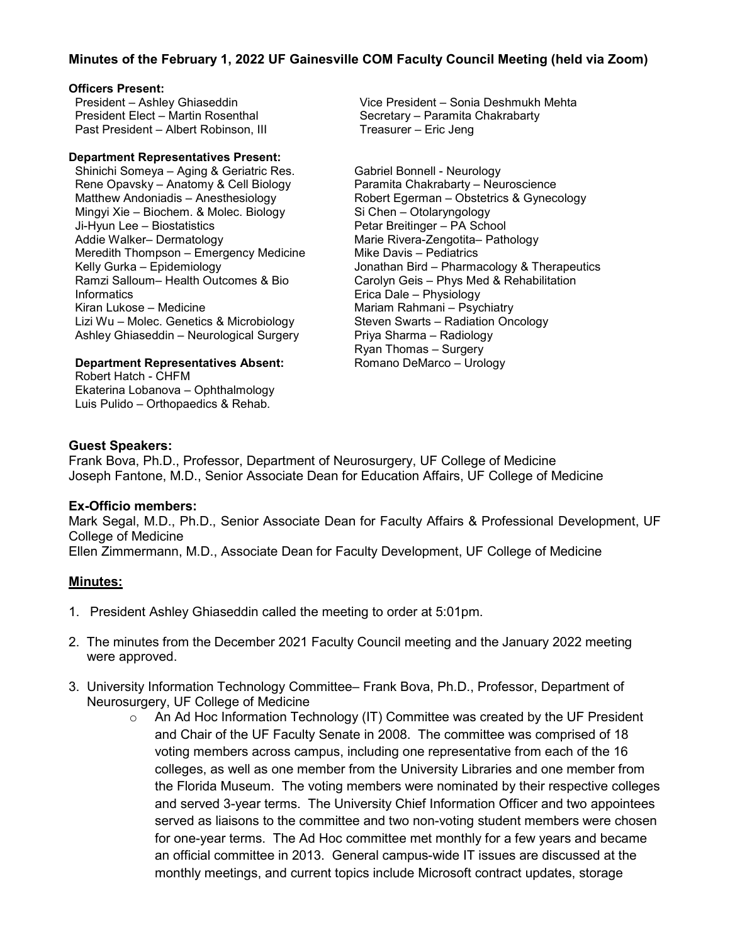# **Minutes of the February 1, 2022 UF Gainesville COM Faculty Council Meeting (held via Zoom)**

#### **Officers Present:**

President – Ashley Ghiaseddin President Elect – Martin Rosenthal Past President – Albert Robinson, III

#### **Department Representatives Present:**

Shinichi Someya – Aging & Geriatric Res. Rene Opavsky – Anatomy & Cell Biology Matthew Andoniadis – Anesthesiology Mingyi Xie – Biochem. & Molec. Biology Ji-Hyun Lee – Biostatistics Addie Walker– Dermatology Meredith Thompson – Emergency Medicine Kelly Gurka – Epidemiology Ramzi Salloum– Health Outcomes & Bio Informatics Kiran Lukose – Medicine Lizi Wu – Molec. Genetics & Microbiology Ashley Ghiaseddin – Neurological Surgery

### **Department Representatives Absent:**

Robert Hatch - CHFM Ekaterina Lobanova – Ophthalmology Luis Pulido – Orthopaedics & Rehab.

Vice President – Sonia Deshmukh Mehta Secretary – Paramita Chakrabarty Treasurer – Eric Jeng

Gabriel Bonnell - Neurology Paramita Chakrabarty – Neuroscience Robert Egerman – Obstetrics & Gynecology Si Chen – Otolaryngology Petar Breitinger – PA School Marie Rivera-Zengotita– Pathology Mike Davis – Pediatrics Jonathan Bird – Pharmacology & Therapeutics Carolyn Geis – Phys Med & Rehabilitation Erica Dale – Physiology Mariam Rahmani – Psychiatry Steven Swarts – Radiation Oncology Priya Sharma – Radiology Ryan Thomas – Surgery Romano DeMarco – Urology

### **Guest Speakers:**

Frank Bova, Ph.D., Professor, Department of Neurosurgery, UF College of Medicine Joseph Fantone, M.D., Senior Associate Dean for Education Affairs, UF College of Medicine

## **Ex-Officio members:**

Mark Segal, M.D., Ph.D., Senior Associate Dean for Faculty Affairs & Professional Development, UF College of Medicine

Ellen Zimmermann, M.D., Associate Dean for Faculty Development, UF College of Medicine

### **Minutes:**

- 1. President Ashley Ghiaseddin called the meeting to order at 5:01pm.
- 2. The minutes from the December 2021 Faculty Council meeting and the January 2022 meeting were approved.
- 3. University Information Technology Committee– Frank Bova, Ph.D., Professor, Department of Neurosurgery, UF College of Medicine
	- $\circ$  An Ad Hoc Information Technology (IT) Committee was created by the UF President and Chair of the UF Faculty Senate in 2008. The committee was comprised of 18 voting members across campus, including one representative from each of the 16 colleges, as well as one member from the University Libraries and one member from the Florida Museum. The voting members were nominated by their respective colleges and served 3-year terms. The University Chief Information Officer and two appointees served as liaisons to the committee and two non-voting student members were chosen for one-year terms. The Ad Hoc committee met monthly for a few years and became an official committee in 2013. General campus-wide IT issues are discussed at the monthly meetings, and current topics include Microsoft contract updates, storage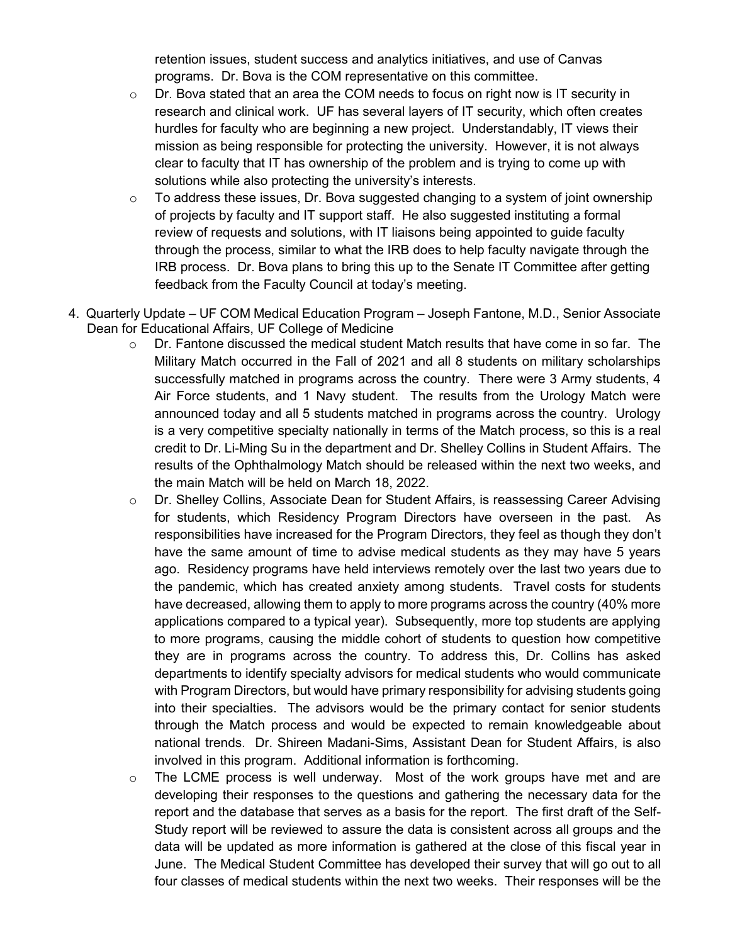retention issues, student success and analytics initiatives, and use of Canvas programs. Dr. Bova is the COM representative on this committee.

- $\circ$  Dr. Bova stated that an area the COM needs to focus on right now is IT security in research and clinical work. UF has several layers of IT security, which often creates hurdles for faculty who are beginning a new project. Understandably, IT views their mission as being responsible for protecting the university. However, it is not always clear to faculty that IT has ownership of the problem and is trying to come up with solutions while also protecting the university's interests.
- $\circ$  To address these issues, Dr. Bova suggested changing to a system of joint ownership of projects by faculty and IT support staff. He also suggested instituting a formal review of requests and solutions, with IT liaisons being appointed to guide faculty through the process, similar to what the IRB does to help faculty navigate through the IRB process. Dr. Bova plans to bring this up to the Senate IT Committee after getting feedback from the Faculty Council at today's meeting.
- 4. Quarterly Update UF COM Medical Education Program Joseph Fantone, M.D., Senior Associate Dean for Educational Affairs, UF College of Medicine
	- $\circ$  Dr. Fantone discussed the medical student Match results that have come in so far. The Military Match occurred in the Fall of 2021 and all 8 students on military scholarships successfully matched in programs across the country. There were 3 Army students, 4 Air Force students, and 1 Navy student. The results from the Urology Match were announced today and all 5 students matched in programs across the country. Urology is a very competitive specialty nationally in terms of the Match process, so this is a real credit to Dr. Li-Ming Su in the department and Dr. Shelley Collins in Student Affairs. The results of the Ophthalmology Match should be released within the next two weeks, and the main Match will be held on March 18, 2022.
	- o Dr. Shelley Collins, Associate Dean for Student Affairs, is reassessing Career Advising for students, which Residency Program Directors have overseen in the past. As responsibilities have increased for the Program Directors, they feel as though they don't have the same amount of time to advise medical students as they may have 5 years ago. Residency programs have held interviews remotely over the last two years due to the pandemic, which has created anxiety among students. Travel costs for students have decreased, allowing them to apply to more programs across the country (40% more applications compared to a typical year). Subsequently, more top students are applying to more programs, causing the middle cohort of students to question how competitive they are in programs across the country. To address this, Dr. Collins has asked departments to identify specialty advisors for medical students who would communicate with Program Directors, but would have primary responsibility for advising students going into their specialties. The advisors would be the primary contact for senior students through the Match process and would be expected to remain knowledgeable about national trends. Dr. Shireen Madani-Sims, Assistant Dean for Student Affairs, is also involved in this program. Additional information is forthcoming.
	- $\circ$  The LCME process is well underway. Most of the work groups have met and are developing their responses to the questions and gathering the necessary data for the report and the database that serves as a basis for the report. The first draft of the Self-Study report will be reviewed to assure the data is consistent across all groups and the data will be updated as more information is gathered at the close of this fiscal year in June. The Medical Student Committee has developed their survey that will go out to all four classes of medical students within the next two weeks. Their responses will be the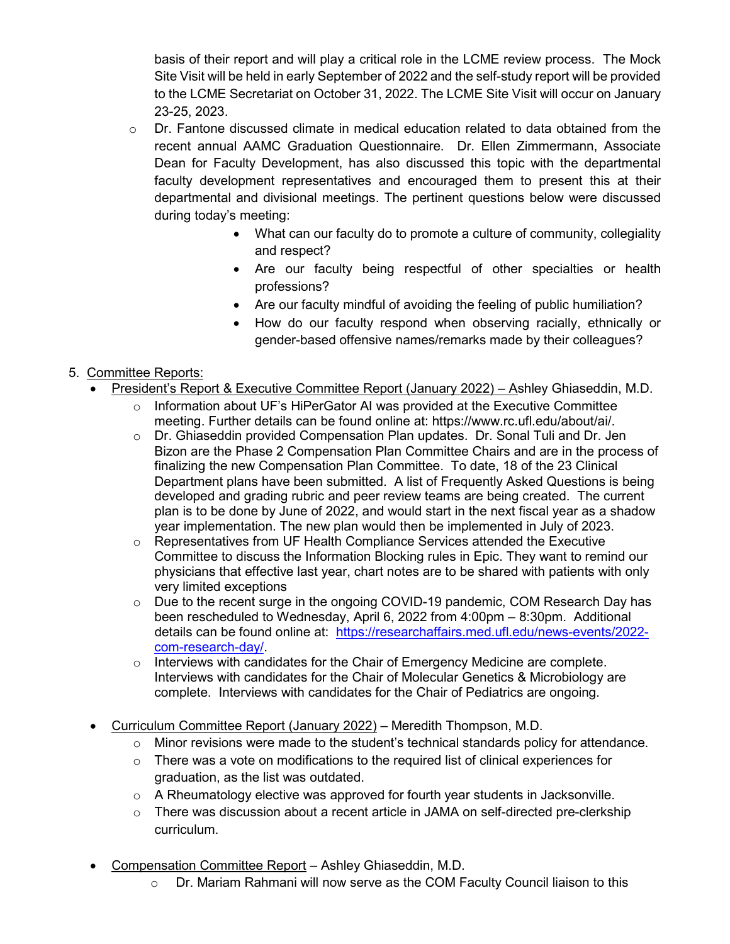basis of their report and will play a critical role in the LCME review process. The Mock Site Visit will be held in early September of 2022 and the self-study report will be provided to the LCME Secretariat on October 31, 2022. The LCME Site Visit will occur on January 23-25, 2023.

- $\circ$  Dr. Fantone discussed climate in medical education related to data obtained from the recent annual AAMC Graduation Questionnaire. Dr. Ellen Zimmermann, Associate Dean for Faculty Development, has also discussed this topic with the departmental faculty development representatives and encouraged them to present this at their departmental and divisional meetings. The pertinent questions below were discussed during today's meeting:
	- What can our faculty do to promote a culture of community, collegiality and respect?
	- Are our faculty being respectful of other specialties or health professions?
	- Are our faculty mindful of avoiding the feeling of public humiliation?
	- How do our faculty respond when observing racially, ethnically or gender-based offensive names/remarks made by their colleagues?

# 5. Committee Reports:

- President's Report & Executive Committee Report (January 2022) Ashley Ghiaseddin, M.D.
	- $\circ$  Information about UF's HiPerGator AI was provided at the Executive Committee meeting. Further details can be found online at: https://www.rc.ufl.edu/about/ai/.
	- o Dr. Ghiaseddin provided Compensation Plan updates. Dr. Sonal Tuli and Dr. Jen Bizon are the Phase 2 Compensation Plan Committee Chairs and are in the process of finalizing the new Compensation Plan Committee. To date, 18 of the 23 Clinical Department plans have been submitted. A list of Frequently Asked Questions is being developed and grading rubric and peer review teams are being created. The current plan is to be done by June of 2022, and would start in the next fiscal year as a shadow year implementation. The new plan would then be implemented in July of 2023.
	- $\circ$  Representatives from UF Health Compliance Services attended the Executive Committee to discuss the Information Blocking rules in Epic. They want to remind our physicians that effective last year, chart notes are to be shared with patients with only very limited exceptions
	- o Due to the recent surge in the ongoing COVID-19 pandemic, COM Research Day has been rescheduled to Wednesday, April 6, 2022 from 4:00pm – 8:30pm. Additional details can be found online at: [https://researchaffairs.med.ufl.edu/news-events/2022](https://researchaffairs.med.ufl.edu/news-events/2022-com-research-day/) [com-research-day/.](https://researchaffairs.med.ufl.edu/news-events/2022-com-research-day/)
	- o Interviews with candidates for the Chair of Emergency Medicine are complete. Interviews with candidates for the Chair of Molecular Genetics & Microbiology are complete. Interviews with candidates for the Chair of Pediatrics are ongoing.
- Curriculum Committee Report (January 2022) Meredith Thompson, M.D.
	- o Minor revisions were made to the student's technical standards policy for attendance.
	- o There was a vote on modifications to the required list of clinical experiences for graduation, as the list was outdated.
	- $\circ$  A Rheumatology elective was approved for fourth year students in Jacksonville.
	- $\circ$  There was discussion about a recent article in JAMA on self-directed pre-clerkship curriculum.
- Compensation Committee Report Ashley Ghiaseddin, M.D.
	- o Dr. Mariam Rahmani will now serve as the COM Faculty Council liaison to this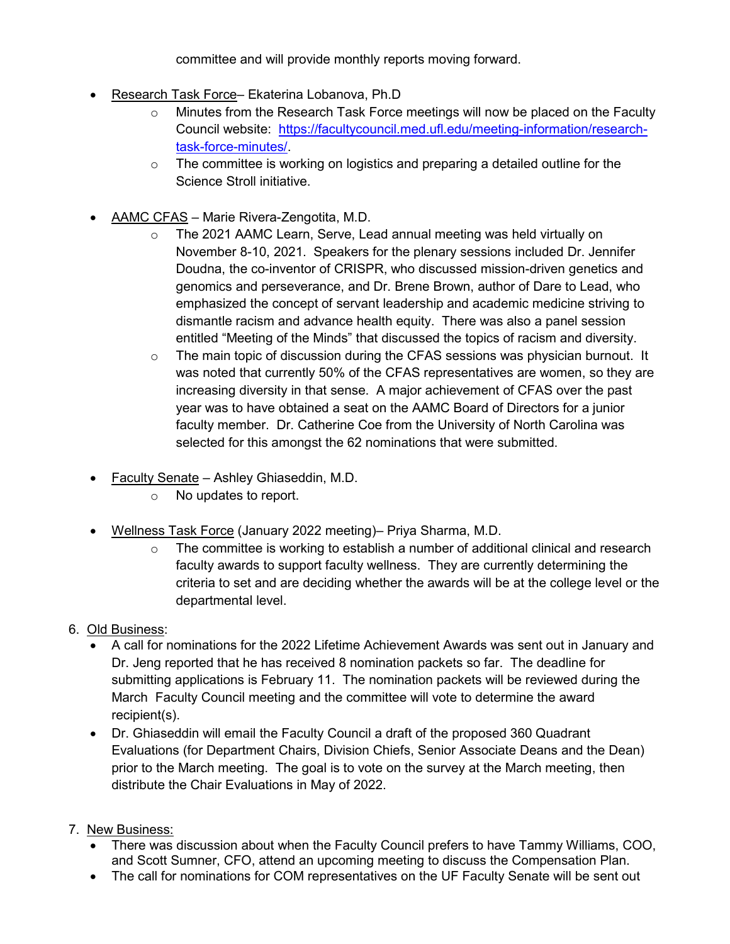committee and will provide monthly reports moving forward.

- Research Task Force– Ekaterina Lobanova, Ph.D
	- Minutes from the Research Task Force meetings will now be placed on the Faculty Council website: [https://facultycouncil.med.ufl.edu/meeting-information/research](https://facultycouncil.med.ufl.edu/meeting-information/research-task-force-minutes/)[task-force-minutes/.](https://facultycouncil.med.ufl.edu/meeting-information/research-task-force-minutes/)
	- $\circ$  The committee is working on logistics and preparing a detailed outline for the Science Stroll initiative.
- AAMC CFAS Marie Rivera-Zengotita, M.D.
	- o The 2021 AAMC Learn, Serve, Lead annual meeting was held virtually on November 8-10, 2021. Speakers for the plenary sessions included Dr. Jennifer Doudna, the co-inventor of CRISPR, who discussed mission-driven genetics and genomics and perseverance, and Dr. Brene Brown, author of Dare to Lead, who emphasized the concept of servant leadership and academic medicine striving to dismantle racism and advance health equity. There was also a panel session entitled "Meeting of the Minds" that discussed the topics of racism and diversity.
	- $\circ$  The main topic of discussion during the CFAS sessions was physician burnout. It was noted that currently 50% of the CFAS representatives are women, so they are increasing diversity in that sense. A major achievement of CFAS over the past year was to have obtained a seat on the AAMC Board of Directors for a junior faculty member. Dr. Catherine Coe from the University of North Carolina was selected for this amongst the 62 nominations that were submitted.
- Faculty Senate Ashley Ghiaseddin, M.D.
	- o No updates to report.
- Wellness Task Force (January 2022 meeting)– Priya Sharma, M.D.
	- $\circ$  The committee is working to establish a number of additional clinical and research faculty awards to support faculty wellness. They are currently determining the criteria to set and are deciding whether the awards will be at the college level or the departmental level.
- 6. Old Business:
	- A call for nominations for the 2022 Lifetime Achievement Awards was sent out in January and Dr. Jeng reported that he has received 8 nomination packets so far. The deadline for submitting applications is February 11. The nomination packets will be reviewed during the March Faculty Council meeting and the committee will vote to determine the award recipient(s).
	- Dr. Ghiaseddin will email the Faculty Council a draft of the proposed 360 Quadrant Evaluations (for Department Chairs, Division Chiefs, Senior Associate Deans and the Dean) prior to the March meeting. The goal is to vote on the survey at the March meeting, then distribute the Chair Evaluations in May of 2022.
- 7. New Business:
	- There was discussion about when the Faculty Council prefers to have Tammy Williams, COO, and Scott Sumner, CFO, attend an upcoming meeting to discuss the Compensation Plan.
	- The call for nominations for COM representatives on the UF Faculty Senate will be sent out